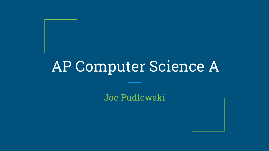Joe Pudlewski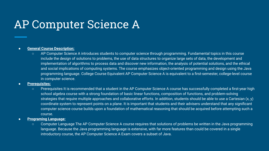#### **● General Course Description:**

- AP Computer Science A introduces students to computer science through programming. Fundamental topics in this course include the design of solutions to problems, the use of data structures to organize large sets of data, the development and implementation of algorithms to process data and discover new information, the analysis of potential solutions, and the ethical and social implications of computing systems. The course emphasizes object-oriented programming and design using the Java programming language. College Course Equivalent AP Computer Science A is equivalent to a first-semester, college-level course in computer science.
- **● Prerequisites:**
	- Prerequisites It is recommended that a student in the AP Computer Science A course has successfully completed a first-year high school algebra course with a strong foundation of basic linear functions, composition of functions, and problem-solving strategies that require multiple approaches and collaborative efforts. In addition, students should be able to use a Cartesian (x, y) coordinate system to represent points on a plane. It is important that students and their advisers understand that any significant computer science course builds upon a foundation of mathematical reasoning that should be acquired before attempting such a course.
- **● Programing Language:**
	- Computer Language The AP Computer Science A course requires that solutions of problems be written in the Java programming language. Because the Java programming language is extensive, with far more features than could be covered in a single introductory course, the AP Computer Science A Exam covers a subset of Java.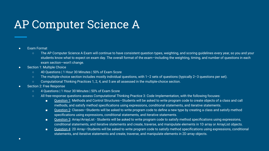#### ● Exam Format

- The AP Computer Science A Exam will continue to have consistent question types, weighting, and scoring quidelines every year, so you and your students know what to expect on exam day. The overall format of the exam—including the weighting, timing, and number of questions in each exam section—won't change.
- Section 1: Multiple Choice
	- 40 Questions | 1 Hour 30 Minutes | 50% of Exam Score
	- The multiple-choice section includes mostly individual questions, with 1–2 sets of questions (typically 2–3 questions per set).
	- Computational Thinking Practices 1, 2, 4, and 5 are all assessed in the multiple-choice section.

#### ● Section 2: Free Response

- 4 Questions | 1 Hour 30 Minutes | 50% of Exam Score
- All free-response questions assess Computational Thinking Practice 3: Code Implementation, with the following focuses:
	- Question 1: Methods and Control Structures–Students will be asked to write program code to create objects of a class and call methods, and satisfy method specifications using expressions, conditional statements, and iterative statements.
	- Question 2: Classes–Students will be asked to write program code to define a new type by creating a class and satisfy method specifications using expressions, conditional statements, and iterative statements.
	- Question 3: Array/ArrayList Students will be asked to write program code to satisfy method specifications using expressions, conditional statements, and iterative statements and create, traverse, and manipulate elements in 1D array or ArrayList objects.
	- Question 4: 2D Array–Students will be asked to write program code to satisfy method specifications using expressions, conditional statements, and iterative statements and create, traverse, and manipulate elements in 2D array objects.